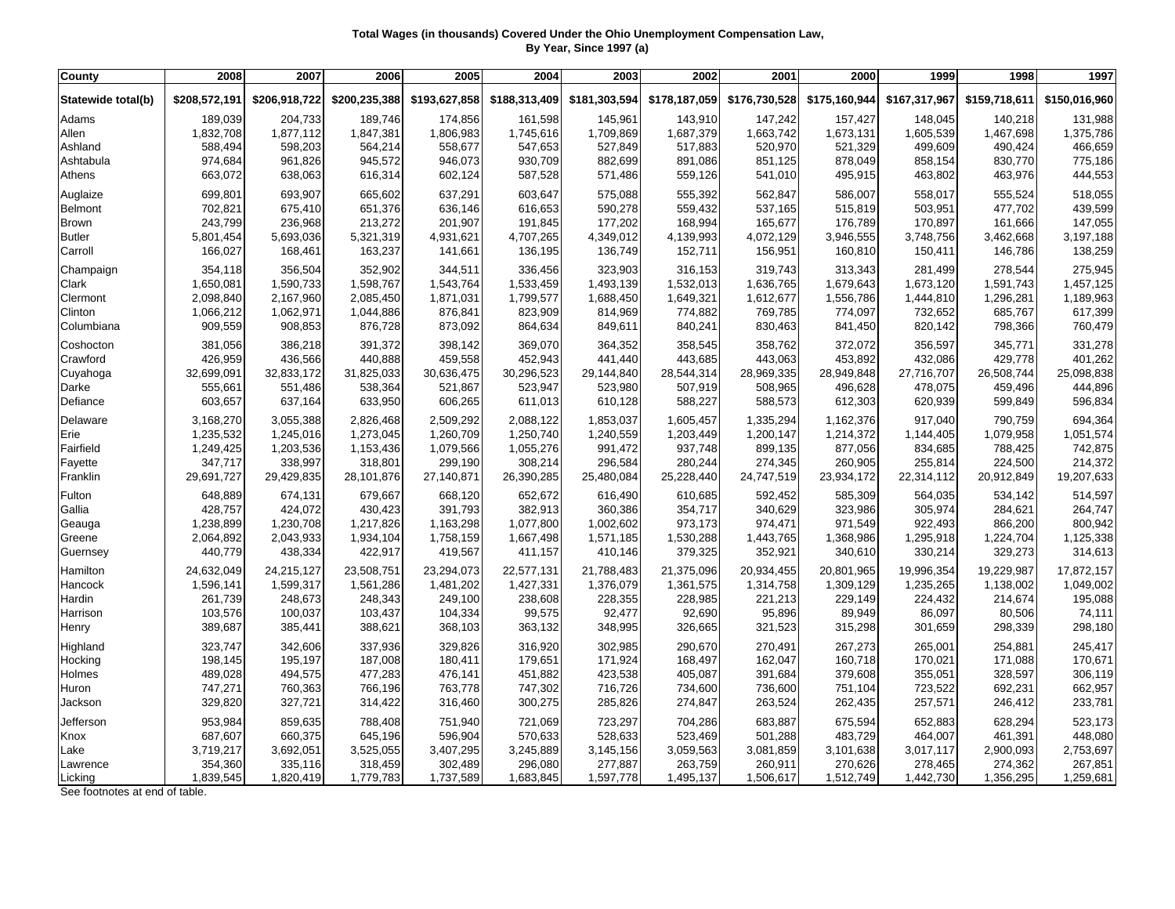## **Total Wages (in thousands) Covered Under the Ohio Unemployment Compensation Law, By Year, Since 1997 (a)**

| County             | 2008          | 2007          | 2006          | 2005          | 2004          | 2003          | 2002          | 2001          | 2000          | 1999          | 1998          | 1997          |
|--------------------|---------------|---------------|---------------|---------------|---------------|---------------|---------------|---------------|---------------|---------------|---------------|---------------|
| Statewide total(b) | \$208,572,191 | \$206,918,722 | \$200,235,388 | \$193,627,858 | \$188,313,409 | \$181,303,594 | \$178,187,059 | \$176,730,528 | \$175,160,944 | \$167,317,967 | \$159,718,611 | \$150,016,960 |
| Adams              | 189,039       | 204,733       | 189,746       | 174,856       | 161,598       | 145,961       | 143,910       | 147,242       | 157,427       | 148,045       | 140,218       | 131,988       |
| Allen              | 1,832,708     | 1,877,112     | 1,847,381     | 1,806,983     | 1,745,616     | 1,709,869     | 1,687,379     | 1,663,742     | 1,673,131     | 1,605,539     | 1,467,698     | 1,375,786     |
| Ashland            | 588,494       | 598,203       | 564,214       | 558,677       | 547,653       | 527,849       | 517,883       | 520,970       | 521,329       | 499,609       | 490,424       | 466,659       |
| Ashtabula          | 974,684       | 961,826       | 945,572       | 946,073       | 930,709       | 882,699       | 891,086       | 851,125       | 878,049       | 858,154       | 830,770       | 775,186       |
| Athens             | 663,072       | 638,063       | 616,314       | 602,124       | 587,528       | 571,486       | 559,126       | 541,010       | 495,915       | 463,802       | 463,976       | 444,553       |
| Auglaize           | 699,801       | 693,907       | 665,602       | 637,291       | 603,647       | 575,088       | 555,392       | 562,847       | 586,007       | 558,017       | 555,524       | 518,055       |
| Belmont            | 702,821       | 675,410       | 651,376       | 636,146       | 616,653       | 590,278       | 559,432       | 537,165       | 515,819       | 503,951       | 477,702       | 439,599       |
| <b>Brown</b>       | 243,799       | 236,968       | 213,272       | 201,907       | 191,845       | 177,202       | 168,994       | 165,677       | 176,789       | 170,897       | 161,666       | 147,055       |
| <b>Butler</b>      | 5,801,454     | 5,693,036     | 5,321,319     | 4,931,621     | 4,707,265     | 4,349,012     | 4,139,993     | 4,072,129     | 3,946,555     | 3,748,756     | 3,462,668     | 3,197,188     |
| Carroll            | 166,027       | 168,461       | 163,237       | 141,661       | 136,195       | 136,749       | 152,711       | 156,951       | 160,810       | 150,411       | 146,786       | 138,259       |
| Champaign          | 354,118       | 356,504       | 352,902       | 344,511       | 336,456       | 323,903       | 316,153       | 319,743       | 313,343       | 281,499       | 278,544       | 275,945       |
| Clark              | 1,650,081     | 1,590,733     | 1,598,767     | 1,543,764     | 1,533,459     | 1,493,139     | 1,532,013     | 1,636,765     | 1,679,643     | 1,673,120     | 1,591,743     | 1,457,125     |
| Clermont           | 2,098,840     | 2,167,960     | 2,085,450     | 1,871,031     | 1,799,577     | 1,688,450     | 1,649,321     | 1,612,677     | 1,556,786     | 1,444,810     | 1,296,281     | 1,189,963     |
| Clinton            | 1,066,212     | 1,062,971     | 1,044,886     | 876,841       | 823,909       | 814,969       | 774,882       | 769,785       | 774,097       | 732,652       | 685,767       | 617,399       |
| Columbiana         | 909,559       | 908,853       | 876,728       | 873,092       | 864,634       | 849,611       | 840,241       | 830,463       | 841,450       | 820,142       | 798,366       | 760,479       |
| Coshocton          | 381,056       | 386,218       | 391,372       | 398,142       | 369,070       | 364,352       | 358,545       | 358,762       | 372,072       | 356,597       | 345,771       | 331,278       |
| Crawford           | 426,959       | 436,566       | 440,888       | 459,558       | 452,943       | 441,440       | 443,685       | 443,063       | 453,892       | 432,086       | 429,778       | 401,262       |
| Cuyahoga           | 32,699,091    | 32,833,172    | 31,825,033    | 30,636,475    | 30,296,523    | 29,144,840    | 28,544,314    | 28,969,335    | 28,949,848    | 27,716,707    | 26,508,744    | 25,098,838    |
| Darke              | 555,661       | 551,486       | 538,364       | 521,867       | 523,947       | 523,980       | 507,919       | 508,965       | 496,628       | 478,075       | 459,496       | 444,896       |
| Defiance           | 603,657       | 637,164       | 633,950       | 606,265       | 611,013       | 610,128       | 588,227       | 588,573       | 612,303       | 620,939       | 599,849       | 596,834       |
| Delaware           | 3,168,270     | 3,055,388     | 2,826,468     | 2,509,292     | 2,088,122     | 1,853,037     | 1,605,457     | 1,335,294     | 1,162,376     | 917,040       | 790,759       | 694,364       |
| Erie               | 1,235,532     | 1,245,016     | 1,273,045     | 1,260,709     | 1,250,740     | 1,240,559     | 1,203,449     | 1,200,147     | 1,214,372     | 1,144,405     | 1,079,958     | 1,051,574     |
| Fairfield          | 1,249,425     | 1,203,536     | 1,153,436     | 1,079,566     | 1,055,276     | 991,472       | 937,748       | 899,135       | 877,056       | 834,685       | 788,425       | 742,875       |
| Fayette            | 347,717       | 338,997       | 318,801       | 299,190       | 308,214       | 296,584       | 280,244       | 274,345       | 260,905       | 255,814       | 224,500       | 214,372       |
| Franklin           | 29,691,727    | 29,429,835    | 28,101,876    | 27,140,871    | 26,390,285    | 25,480,084    | 25,228,440    | 24,747,519    | 23,934,172    | 22,314,112    | 20,912,849    | 19,207,633    |
| Fulton             | 648,889       | 674,131       | 679,667       | 668,120       | 652,672       | 616,490       | 610,685       | 592,452       | 585,309       | 564,035       | 534,142       | 514,597       |
| Gallia             | 428,757       | 424,072       | 430,423       | 391,793       | 382,913       | 360,386       | 354,717       | 340,629       | 323,986       | 305,974       | 284,621       | 264,747       |
| Geauga             | 1,238,899     | 1,230,708     | 1,217,826     | 1,163,298     | 1,077,800     | 1,002,602     | 973,173       | 974,471       | 971,549       | 922,493       | 866,200       | 800,942       |
| Greene             | 2,064,892     | 2,043,933     | 1,934,104     | 1,758,159     | 1,667,498     | 1,571,185     | 1,530,288     | 1,443,765     | 1,368,986     | 1,295,918     | 1,224,704     | 1,125,338     |
| Guernsey           | 440,779       | 438,334       | 422,917       | 419,567       | 411,157       | 410,146       | 379,325       | 352,921       | 340,610       | 330,214       | 329,273       | 314,613       |
| Hamilton           | 24,632,049    | 24,215,127    | 23,508,751    | 23,294,073    | 22,577,131    | 21,788,483    | 21,375,096    | 20,934,455    | 20,801,965    | 19,996,354    | 19,229,987    | 17,872,157    |
| Hancock            | 1,596,141     | 1,599,317     | 1,561,286     | 1,481,202     | 1,427,331     | 1,376,079     | 1,361,575     | 1,314,758     | 1,309,129     | 1,235,265     | 1,138,002     | 1,049,002     |
| Hardin             | 261,739       | 248,673       | 248,343       | 249,100       | 238,608       | 228,355       | 228,985       | 221,213       | 229,149       | 224,432       | 214,674       | 195,088       |
| Harrison           | 103,576       | 100,037       | 103,437       | 104,334       | 99,575        | 92,477        | 92,690        | 95,896        | 89,949        | 86,097        | 80,506        | 74,111        |
| Henry              | 389,687       | 385,441       | 388,621       | 368,103       | 363,132       | 348,995       | 326,665       | 321,523       | 315,298       | 301,659       | 298,339       | 298,180       |
| Highland           | 323,747       | 342,606       | 337,936       | 329,826       | 316,920       | 302,985       | 290,670       | 270,491       | 267,273       | 265,001       | 254,881       | 245,417       |
| Hocking            | 198,145       | 195,197       | 187,008       | 180,411       | 179,651       | 171,924       | 168,497       | 162,047       | 160,718       | 170,021       | 171,088       | 170,671       |
| Holmes             | 489,028       | 494,575       | 477,283       | 476,141       | 451,882       | 423,538       | 405,087       | 391,684       | 379,608       | 355,051       | 328,597       | 306,119       |
| Huron              | 747,271       | 760,363       | 766,196       | 763,778       | 747,302       | 716,726       | 734,600       | 736,600       | 751,104       | 723,522       | 692,231       | 662,957       |
| Jackson            | 329,820       | 327,721       | 314,422       | 316,460       | 300,275       | 285,826       | 274,847       | 263,524       | 262,435       | 257,571       | 246,412       | 233,781       |
| Jefferson          | 953,984       | 859,635       | 788,408       | 751,940       | 721,069       | 723,297       | 704,286       | 683,887       | 675,594       | 652,883       | 628,294       | 523,173       |
| Knox               | 687,607       | 660,375       | 645,196       | 596,904       | 570,633       | 528,633       | 523,469       | 501,288       | 483,729       | 464,007       | 461,391       | 448,080       |
| Lake               | 3,719,217     | 3,692,051     | 3,525,055     | 3,407,295     | 3,245,889     | 3,145,156     | 3,059,563     | 3,081,859     | 3,101,638     | 3,017,117     | 2,900,093     | 2,753,697     |
| Lawrence           | 354,360       | 335,116       | 318,459       | 302,489       | 296,080       | 277,887       | 263,759       | 260,911       | 270,626       | 278,465       | 274,362       | 267,851       |
| Licking            | 1,839,545     | 1,820,419     | 1,779,783     | 1,737,589     | 1,683,845     | 1,597,778     | 1,495,137     | 1,506,617     | 1,512,749     | 1,442,730     | 1,356,295     | 1,259,681     |

See footnotes at end of table.